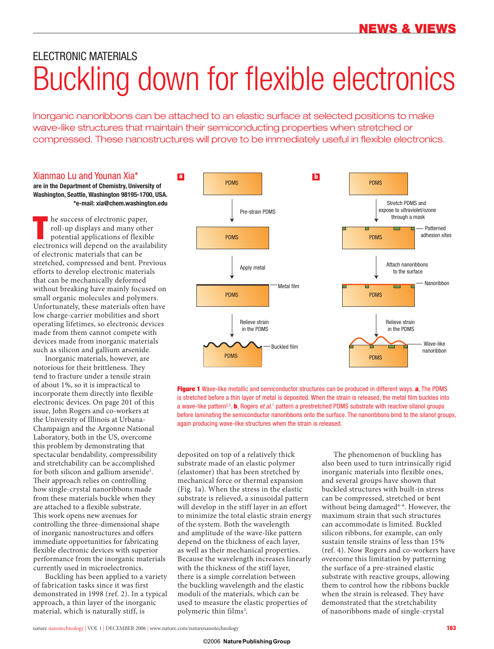# ELECTRONIC MATERIALS Buckling down for flexible electronics

Inorganic nanoribbons can be attached to an elastic surface at selected positions to make wave-like structures that maintain their semiconducting properties when stretched or compressed. These nanostructures will prove to be immediately useful in flexible electronics.

### Xianmao Lu and Younan Xia\*

**are in the Department of Chemistry, University of Washington, Seattle, Washington 98195-1700, USA. \*e-mail: xia@chem.washington.edu**

**THE ENET CONCRETE SPACE CONCRETE POSTAGE CONTROLLER POSTAGE POINT POSETTION OF POSTAGE PROPRIATOR AND APPLICATION OF POINT POINT POINT POINT POINT POINT POINT POINT POINT POINT POINT POINT POINT POINT POINT POINT POINT PO** he success of electronic paper, roll-up displays and many other potential applications of flexible of electronic materials that can be stretched, compressed and bent. Previous efforts to develop electronic materials that can be mechanically deformed without breaking have mainly focused on small organic molecules and polymers. Unfortunately, these materials often have low charge-carrier mobilities and short operating lifetimes, so electronic devices made from them cannot compete with devices made from inorganic materials such as silicon and gallium arsenide.

Inorganic materials, however, are notorious for their brittleness. They tend to fracture under a tensile strain of about 1%, so it is impractical to incorporate them directly into flexible electronic devices. On page 201 of this issue, John Rogers and co-workers at the University of Illinois at Urbana-Champaign and the Argonne National Laboratory, both in the US, overcome this problem by demonstrating that spectacular bendability, compressibility and stretchability can be accomplished for both silicon and gallium arsenide<sup>1</sup>. Their approach relies on controlling how single-crystal nanoribbons made from these materials buckle when they are attached to a flexible substrate. This work opens new avenues for controlling the three-dimensional shape of inorganic nanostructures and offers immediate opportunities for fabricating flexible electronic devices with superior performance from the inorganic materials currently used in microelectronics.

Buckling has been applied to a variety of fabrication tasks since it was first demonstrated in 1998 (ref. 2). In a typical approach, a thin layer of the inorganic material, which is naturally stiff, is



**Figure 1** Wave-like metallic and semiconductor structures can be produced in different ways. **a**, The PDMS is stretched before a thin layer of metal is deposited. When the strain is released, the metal film buckles into a wave-like pattern<sup>2,5</sup>. **b**, Rogers *et al.*<sup>1</sup> pattern a prestretched PDMS substrate with reactive silanol groups before laminating the semiconductor nanoribbons onto the surface. The nanoribbons bind to the silanol groups, again producing wave-like structures when the strain is released.

deposited on top of a relatively thick substrate made of an elastic polymer (elastomer) that has been stretched by mechanical force or thermal expansion (Fig. 1a). When the stress in the elastic substrate is relieved, a sinusoidal pattern will develop in the stiff layer in an effort to minimize the total elastic strain energy of the system. Both the wavelength and amplitude of the wave-like pattern depend on the thickness of each layer, as well as their mechanical properties. Because the wavelength increases linearly with the thickness of the stiff layer, there is a simple correlation between the buckling wavelength and the elastic moduli of the materials, which can be used to measure the elastic properties of polymeric thin films<sup>3</sup>.

The phenomenon of buckling has also been used to turn intrinsically rigid inorganic materials into flexible ones, and several groups have shown that buckled structures with built-in stress can be compressed, stretched or bent without being damaged<sup>4-6</sup>. However, the maximum strain that such structures can accommodate is limited. Buckled silicon ribbons, for example, can only sustain tensile strains of less than 15% (ref. 4). Now Rogers and co-workers have overcome this limitation by patterning the surface of a pre-strained elastic substrate with reactive groups, allowing them to control how the ribbons buckle when the strain is released. They have demonstrated that the stretchability of nanoribbons made of single-crystal